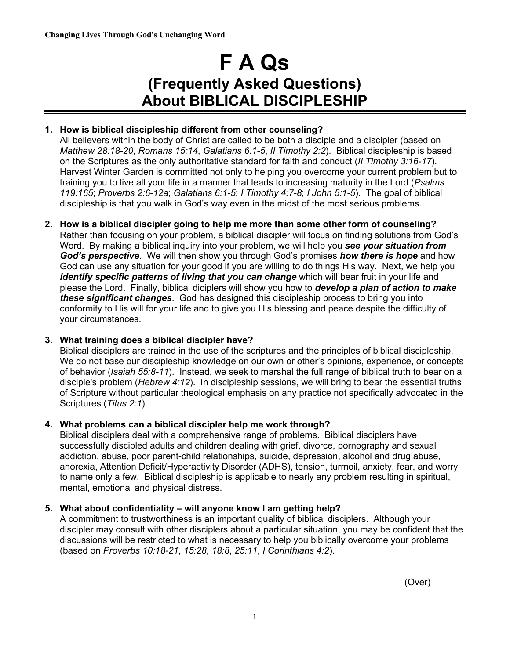# **F A Qs (Frequently Asked Questions) About BIBLICAL DISCIPLESHIP**

# **1. How is biblical discipleship different from other counseling?**

All believers within the body of Christ are called to be both a disciple and a discipler (based on *Matthew 28:18-20*, *Romans 15:14*, *Galatians 6:1-5*, *II Timothy 2:2*). Biblical discipleship is based on the Scriptures as the only authoritative standard for faith and conduct (*II Timothy 3:16-17*). Harvest Winter Garden is committed not only to helping you overcome your current problem but to training you to live all your life in a manner that leads to increasing maturity in the Lord (*Psalms 119:165*; *Proverbs 2:6-12a*; *Galatians 6:1-5*; *I Timothy 4:7-8*; *I John 5:1-5*). The goal of biblical discipleship is that you walk in God's way even in the midst of the most serious problems.

**2. How is a biblical discipler going to help me more than some other form of counseling?** Rather than focusing on your problem, a biblical discipler will focus on finding solutions from God's Word. By making a biblical inquiry into your problem, we will help you *see your situation from God's perspective*. We will then show you through God's promises *how there is hope* and how God can use any situation for your good if you are willing to do things His way. Next, we help you *identify specific patterns of living that you can change* which will bear fruit in your life and please the Lord. Finally, biblical diciplers will show you how to *develop a plan of action to make these significant changes*. God has designed this discipleship process to bring you into conformity to His will for your life and to give you His blessing and peace despite the difficulty of your circumstances.

# **3. What training does a biblical discipler have?**

Biblical disciplers are trained in the use of the scriptures and the principles of biblical discipleship. We do not base our discipleship knowledge on our own or other's opinions, experience, or concepts of behavior (*Isaiah 55:8-11*). Instead, we seek to marshal the full range of biblical truth to bear on a disciple's problem (*Hebrew 4:12*). In discipleship sessions, we will bring to bear the essential truths of Scripture without particular theological emphasis on any practice not specifically advocated in the Scriptures (*Titus 2:1*).

# **4. What problems can a biblical discipler help me work through?**

Biblical disciplers deal with a comprehensive range of problems. Biblical disciplers have successfully discipled adults and children dealing with grief, divorce, pornography and sexual addiction, abuse, poor parent-child relationships, suicide, depression, alcohol and drug abuse, anorexia, Attention Deficit/Hyperactivity Disorder (ADHS), tension, turmoil, anxiety, fear, and worry to name only a few. Biblical discipleship is applicable to nearly any problem resulting in spiritual, mental, emotional and physical distress.

# **5. What about confidentiality – will anyone know I am getting help?**

A commitment to trustworthiness is an important quality of biblical disciplers. Although your discipler may consult with other disciplers about a particular situation, you may be confident that the discussions will be restricted to what is necessary to help you biblically overcome your problems (based on *Proverbs 10:18-21*, *15:28*, *18:8*, *25:11*, *I Corinthians 4:2*).

(Over)